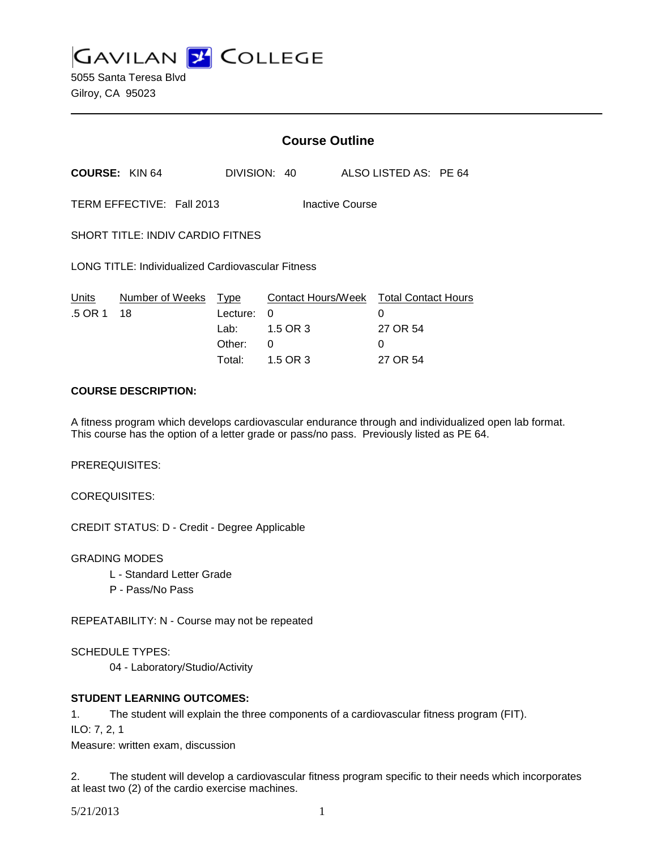**GAVILAN 2 COLLEGE** 

5055 Santa Teresa Blvd Gilroy, CA 95023

|                                                          |                            | <b>Course Outline</b> |                                                    |  |                       |  |
|----------------------------------------------------------|----------------------------|-----------------------|----------------------------------------------------|--|-----------------------|--|
|                                                          | <b>COURSE: KIN 64</b>      |                       | DIVISION: 40                                       |  | ALSO LISTED AS: PE 64 |  |
| TERM EFFECTIVE: Fall 2013<br>Inactive Course             |                            |                       |                                                    |  |                       |  |
| <b>SHORT TITLE: INDIV CARDIO FITNES</b>                  |                            |                       |                                                    |  |                       |  |
| <b>LONG TITLE: Individualized Cardiovascular Fitness</b> |                            |                       |                                                    |  |                       |  |
| Units<br>.5 OR 1                                         | Number of Weeks Type<br>18 | Lecture:              | Contact Hours/Week Total Contact Hours<br>$\Omega$ |  | 0                     |  |
|                                                          |                            | Lab:                  | 1.5 OR 3                                           |  | 27 OR 54              |  |
|                                                          |                            | Other:                | 0                                                  |  | 0                     |  |
|                                                          | COURSE DESCRIPTION.        | Total:                | 1.5 OR 3                                           |  | 27 OR 54              |  |

#### **COURSE DESCRIPTION:**

A fitness program which develops cardiovascular endurance through and individualized open lab format. This course has the option of a letter grade or pass/no pass. Previously listed as PE 64.

PREREQUISITES:

COREQUISITES:

CREDIT STATUS: D - Credit - Degree Applicable

GRADING MODES

- L Standard Letter Grade
- P Pass/No Pass

REPEATABILITY: N - Course may not be repeated

SCHEDULE TYPES:

04 - Laboratory/Studio/Activity

## **STUDENT LEARNING OUTCOMES:**

1. The student will explain the three components of a cardiovascular fitness program (FIT).

ILO: 7, 2, 1

Measure: written exam, discussion

2. The student will develop a cardiovascular fitness program specific to their needs which incorporates at least two (2) of the cardio exercise machines.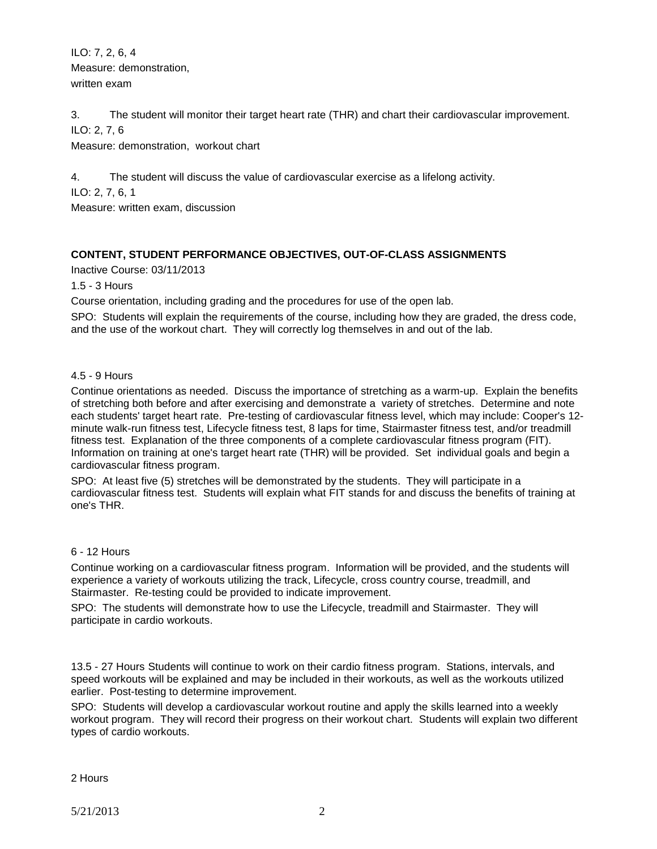ILO: 7, 2, 6, 4 Measure: demonstration, written exam

3. The student will monitor their target heart rate (THR) and chart their cardiovascular improvement. ILO: 2, 7, 6

Measure: demonstration, workout chart

4. The student will discuss the value of cardiovascular exercise as a lifelong activity.

ILO: 2, 7, 6, 1

Measure: written exam, discussion

# **CONTENT, STUDENT PERFORMANCE OBJECTIVES, OUT-OF-CLASS ASSIGNMENTS**

Inactive Course: 03/11/2013

1.5 - 3 Hours

Course orientation, including grading and the procedures for use of the open lab.

SPO: Students will explain the requirements of the course, including how they are graded, the dress code, and the use of the workout chart. They will correctly log themselves in and out of the lab.

#### 4.5 - 9 Hours

Continue orientations as needed. Discuss the importance of stretching as a warm-up. Explain the benefits of stretching both before and after exercising and demonstrate a variety of stretches. Determine and note each students' target heart rate. Pre-testing of cardiovascular fitness level, which may include: Cooper's 12 minute walk-run fitness test, Lifecycle fitness test, 8 laps for time, Stairmaster fitness test, and/or treadmill fitness test. Explanation of the three components of a complete cardiovascular fitness program (FIT). Information on training at one's target heart rate (THR) will be provided. Set individual goals and begin a cardiovascular fitness program.

SPO: At least five (5) stretches will be demonstrated by the students. They will participate in a cardiovascular fitness test. Students will explain what FIT stands for and discuss the benefits of training at one's THR.

#### 6 - 12 Hours

Continue working on a cardiovascular fitness program. Information will be provided, and the students will experience a variety of workouts utilizing the track, Lifecycle, cross country course, treadmill, and Stairmaster. Re-testing could be provided to indicate improvement.

SPO: The students will demonstrate how to use the Lifecycle, treadmill and Stairmaster. They will participate in cardio workouts.

13.5 - 27 Hours Students will continue to work on their cardio fitness program. Stations, intervals, and speed workouts will be explained and may be included in their workouts, as well as the workouts utilized earlier. Post-testing to determine improvement.

SPO: Students will develop a cardiovascular workout routine and apply the skills learned into a weekly workout program. They will record their progress on their workout chart. Students will explain two different types of cardio workouts.

## 2 Hours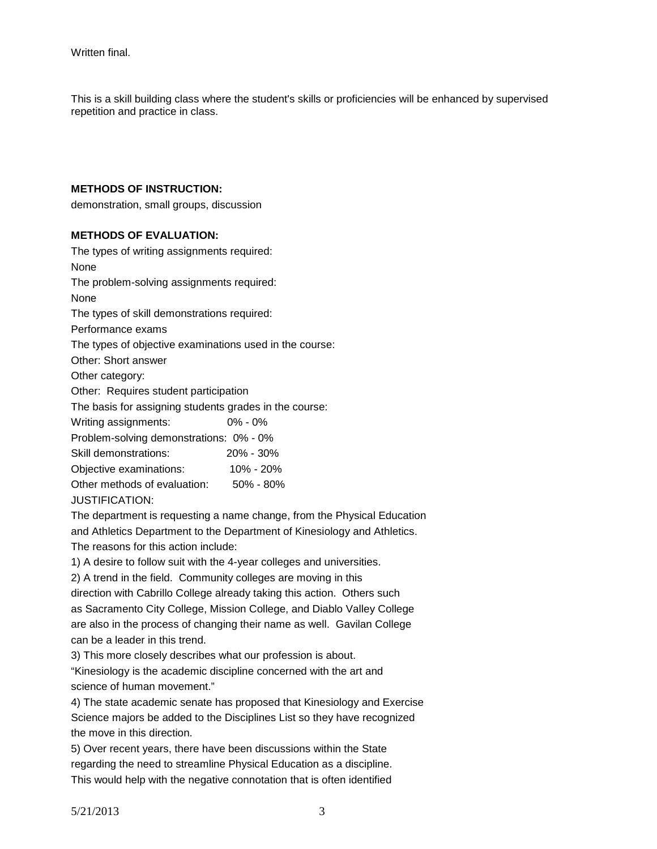This is a skill building class where the student's skills or proficiencies will be enhanced by supervised repetition and practice in class.

## **METHODS OF INSTRUCTION:**

demonstration, small groups, discussion

#### **METHODS OF EVALUATION:**

The types of writing assignments required: None The problem-solving assignments required: None The types of skill demonstrations required: Performance exams The types of objective examinations used in the course: Other: Short answer Other category: Other: Requires student participation The basis for assigning students grades in the course: Writing assignments: 0% - 0% Problem-solving demonstrations: 0% - 0% Skill demonstrations: 20% - 30% Objective examinations: 10% - 20% Other methods of evaluation: 50% - 80% JUSTIFICATION:

The department is requesting a name change, from the Physical Education and Athletics Department to the Department of Kinesiology and Athletics.

The reasons for this action include:

1) A desire to follow suit with the 4-year colleges and universities.

2) A trend in the field. Community colleges are moving in this

direction with Cabrillo College already taking this action. Others such as Sacramento City College, Mission College, and Diablo Valley College are also in the process of changing their name as well. Gavilan College can be a leader in this trend.

3) This more closely describes what our profession is about.

"Kinesiology is the academic discipline concerned with the art and science of human movement."

4) The state academic senate has proposed that Kinesiology and Exercise Science majors be added to the Disciplines List so they have recognized the move in this direction.

5) Over recent years, there have been discussions within the State regarding the need to streamline Physical Education as a discipline. This would help with the negative connotation that is often identified